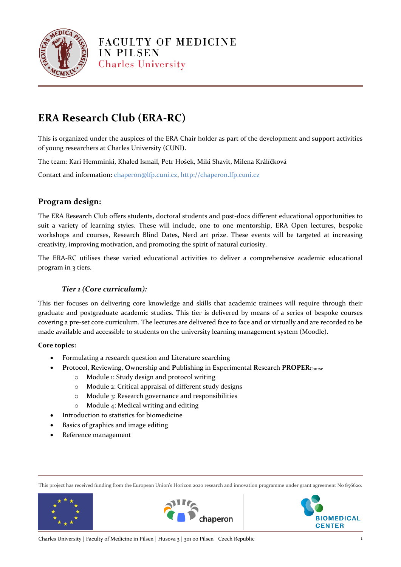

# **ERA Research Club (ERA-RC)**

This is organized under the auspices of the ERA Chair holder as part of the development and support activities of young researchers at Charles University (CUNI).

The team: Kari Hemminki, Khaled Ismail, Petr Hošek, Miki Shavit, Milena Králíčková

Contact and information: chaperon@lfp.cuni.cz, http://chaperon.lfp.cuni.cz

## **Program design:**

The ERA Research Club offers students, doctoral students and post-docs different educational opportunities to suit a variety of learning styles. These will include, one to one mentorship, ERA Open lectures, bespoke workshops and courses, Research Blind Dates, Nerd art prize. These events will be targeted at increasing creativity, improving motivation, and promoting the spirit of natural curiosity.

The ERA-RC utilises these varied educational activities to deliver a comprehensive academic educational program in 3 tiers.

## *Tier 1 (Core curriculum):*

This tier focuses on delivering core knowledge and skills that academic trainees will require through their graduate and postgraduate academic studies. This tier is delivered by means of a series of bespoke courses covering a pre-set core curriculum. The lectures are delivered face to face and or virtually and are recorded to be made available and accessible to students on the university learning management system (Moodle).

### **Core topics:**

- Formulating a research question and Literature searching
- **P**rotocol, **R**eviewing, **O**wnership and **P**ublishing in **E**xperimental **R**esearch **PROPER**Course
	- o Module 1: Study design and protocol writing
	- o Module 2: Critical appraisal of different study designs
	- o Module 3: Research governance and responsibilities
	- o Module 4: Medical writing and editing
- Introduction to statistics for biomedicine
- Basics of graphics and image editing
- Reference management

This project has received funding from the European Union's Horizon 2020 research and innovation programme under grant agreement No 856620.





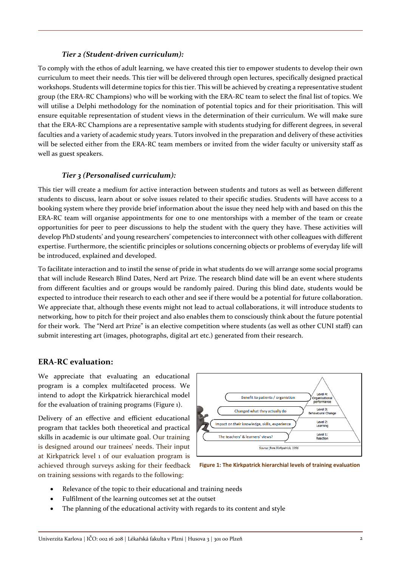### *Tier 2 (Student-driven curriculum):*

To comply with the ethos of adult learning, we have created this tier to empower students to develop their own curriculum to meet their needs. This tier will be delivered through open lectures, specifically designed practical workshops. Students will determine topics for this tier. This will be achieved by creating a representative student group (the ERA-RC Champions) who will be working with the ERA-RC team to select the final list of topics. We will utilise a Delphi methodology for the nomination of potential topics and for their prioritisation. This will ensure equitable representation of student views in the determination of their curriculum. We will make sure that the ERA-RC Champions are a representative sample with students studying for different degrees, in several faculties and a variety of academic study years. Tutors involved in the preparation and delivery of these activities will be selected either from the ERA-RC team members or invited from the wider faculty or university staff as well as guest speakers.

#### *Tier 3 (Personalised curriculum):*

This tier will create a medium for active interaction between students and tutors as well as between different students to discuss, learn about or solve issues related to their specific studies. Students will have access to a booking system where they provide brief information about the issue they need help with and based on this the ERA-RC team will organise appointments for one to one mentorships with a member of the team or create opportunities for peer to peer discussions to help the student with the query they have. These activities will develop PhD students' and young researchers' competencies to interconnect with other colleagues with different expertise. Furthermore, the scientific principles or solutions concerning objects or problems of everyday life will be introduced, explained and developed.

To facilitate interaction and to instil the sense of pride in what students do we will arrange some social programs that will include Research Blind Dates, Nerd art Prize. The research blind date will be an event where students from different faculties and or groups would be randomly paired. During this blind date, students would be expected to introduce their research to each other and see if there would be a potential for future collaboration. We appreciate that, although these events might not lead to actual collaborations, it will introduce students to networking, how to pitch for their project and also enables them to consciously think about the future potential for their work. The "Nerd art Prize" is an elective competition where students (as well as other CUNI staff) can submit interesting art (images, photographs, digital art etc.) generated from their research.

### **ERA-RC evaluation:**

We appreciate that evaluating an educational program is a complex multifaceted process. We intend to adopt the Kirkpatrick hierarchical model for the evaluation of training programs (Figure 1).

Delivery of an effective and efficient educational program that tackles both theoretical and practical skills in academic is our ultimate goal. Our training is designed around our trainees' needs. Their input at Kirkpatrick level 1 of our evaluation program is achieved through surveys asking for their feedback on training sessions with regards to the following:



**Figure 1: The Kirkpatrick hierarchial levels of training evaluation**

- Relevance of the topic to their educational and training needs
- Fulfilment of the learning outcomes set at the outset
- The planning of the educational activity with regards to its content and style